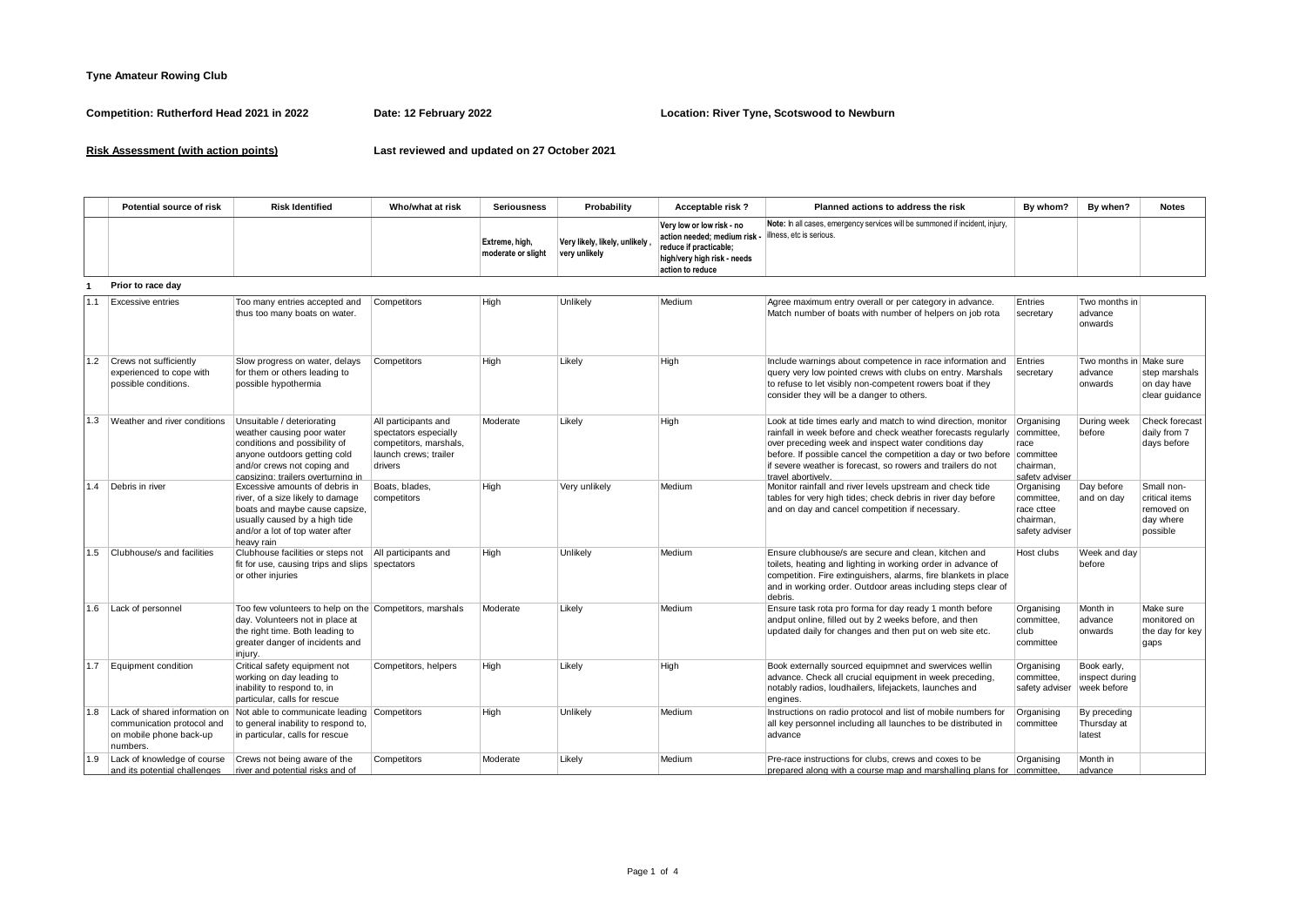## **Tyne Amateur Rowing Club**

**Competition: Rutherford Head 2021 in 2022 Date: 12 February 2022 Location: River Tyne, Scotswood to Newburn** 

**Risk Assessment (with action points) Last reviewed and updated on 27 October 2021**

|     | Potential source of risk                                                                           | <b>Risk Identified</b>                                                                                                                                                                         | Who/what at risk                                                                                            | <b>Seriousness</b>                   | Probability                                    | Acceptable risk?                                                                                                                                                | Planned actions to address the risk                                                                                                                                                                                                                                                                                                                     | By whom?                                                              | By when?                                      | <b>Notes</b>                                                        |
|-----|----------------------------------------------------------------------------------------------------|------------------------------------------------------------------------------------------------------------------------------------------------------------------------------------------------|-------------------------------------------------------------------------------------------------------------|--------------------------------------|------------------------------------------------|-----------------------------------------------------------------------------------------------------------------------------------------------------------------|---------------------------------------------------------------------------------------------------------------------------------------------------------------------------------------------------------------------------------------------------------------------------------------------------------------------------------------------------------|-----------------------------------------------------------------------|-----------------------------------------------|---------------------------------------------------------------------|
|     |                                                                                                    |                                                                                                                                                                                                |                                                                                                             | Extreme, high,<br>moderate or slight | Very likely, likely, unlikely<br>very unlikely | Very low or low risk - no<br>action needed; medium risk - illness, etc is serious.<br>reduce if practicable;<br>high/very high risk - needs<br>action to reduce | Note: In all cases, emergency services will be summoned if incident, injury,                                                                                                                                                                                                                                                                            |                                                                       |                                               |                                                                     |
|     | Prior to race day                                                                                  |                                                                                                                                                                                                |                                                                                                             |                                      |                                                |                                                                                                                                                                 |                                                                                                                                                                                                                                                                                                                                                         |                                                                       |                                               |                                                                     |
| 1.1 | <b>Excessive entries</b>                                                                           | Too many entries accepted and<br>thus too many boats on water.                                                                                                                                 | Competitors                                                                                                 | High                                 | Unlikely                                       | Medium                                                                                                                                                          | Agree maximum entry overall or per category in advance.<br>Match number of boats with number of helpers on job rota                                                                                                                                                                                                                                     | Entries<br>secretary                                                  | Two months in<br>advance<br>onwards           |                                                                     |
| 1.2 | Crews not sufficiently<br>experienced to cope with<br>possible conditions.                         | Slow progress on water, delays<br>for them or others leading to<br>possible hypothermia                                                                                                        | Competitors                                                                                                 | High                                 | Likelv                                         | High                                                                                                                                                            | Include warnings about competence in race information and<br>query very low pointed crews with clubs on entry. Marshals<br>to refuse to let visibly non-competent rowers boat if they<br>consider they will be a danger to others.                                                                                                                      | Entries<br>secretary                                                  | Two months in Make sure<br>advance<br>onwards | step marshals<br>on day have<br>clear guidance                      |
| 1.3 | Weather and river conditions                                                                       | Unsuitable / deteriorating<br>weather causing poor water<br>conditions and possibility of<br>anyone outdoors getting cold<br>and/or crews not coping and<br>capsizing: trailers overturning in | All participants and<br>spectators especially<br>competitors, marshals,<br>launch crews; trailer<br>drivers | Moderate                             | Likely                                         | High                                                                                                                                                            | Look at tide times early and match to wind direction, monitor<br>rainfall in week before and check weather forecasts regularly<br>over preceding week and inspect water conditions day<br>before. If possible cancel the competition a day or two before committee<br>if severe weather is forecast, so rowers and trailers do not<br>travel abortively | Organising<br>committee,<br>race<br>chairman,<br>safety adviser       | During week<br>before                         | Check forecast<br>daily from 7<br>days before                       |
| 1.4 | Debris in river                                                                                    | Excessive amounts of debris in<br>river, of a size likely to damage<br>boats and maybe cause capsize,<br>usually caused by a high tide<br>and/or a lot of top water after<br>heavv rain        | Boats, blades.<br>competitors                                                                               | High                                 | Very unlikely                                  | Medium                                                                                                                                                          | Monitor rainfall and river levels upstream and check tide<br>tables for very high tides; check debris in river day before<br>and on day and cancel competition if necessary.                                                                                                                                                                            | Organising<br>committee,<br>race cttee<br>chairman,<br>safety adviser | Day before<br>and on day                      | Small non-<br>critical items<br>removed on<br>day where<br>possible |
| 1.5 | Clubhouse/s and facilities                                                                         | Clubhouse facilities or steps not<br>fit for use, causing trips and slips spectators<br>or other injuries                                                                                      | All participants and                                                                                        | High                                 | Unlikely                                       | Medium                                                                                                                                                          | Ensure clubhouse/s are secure and clean, kitchen and<br>toilets, heating and lighting in working order in advance of<br>competition. Fire extinguishers, alarms, fire blankets in place<br>and in working order. Outdoor areas including steps clear of<br>debris.                                                                                      | Host clubs                                                            | Week and day<br>before                        |                                                                     |
| 1.6 | Lack of personnel                                                                                  | Too few volunteers to help on the Competitors, marshals<br>day. Volunteers not in place at<br>the right time. Both leading to<br>greater danger of incidents and<br>injury.                    |                                                                                                             | Moderate                             | Likely                                         | Medium                                                                                                                                                          | Ensure task rota pro forma for day ready 1 month before<br>andput online, filled out by 2 weeks before, and then<br>updated daily for changes and then put on web site etc.                                                                                                                                                                             | Organising<br>committee,<br>club<br>committee                         | Month in<br>advance<br>onwards                | Make sure<br>monitored on<br>the day for key<br>qaps                |
|     | 1.7 Equipment condition                                                                            | Critical safety equipment not<br>working on day leading to<br>inability to respond to, in<br>particular, calls for rescue                                                                      | Competitors, helpers                                                                                        | High                                 | Likely                                         | High                                                                                                                                                            | Book externally sourced equipmnet and swervices wellin<br>advance. Check all crucial equipment in week preceding,<br>notably radios, loudhailers, lifejackets, launches and<br>engines.                                                                                                                                                                 | Organising<br>committee,<br>safety adviser                            | Book early,<br>inspect during<br>week before  |                                                                     |
| 1.8 | Lack of shared information on<br>communication protocol and<br>on mobile phone back-up<br>numbers. | Not able to communicate leading Competitors<br>to general inability to respond to,<br>in particular, calls for rescue                                                                          |                                                                                                             | High                                 | Unlikely                                       | Medium                                                                                                                                                          | Instructions on radio protocol and list of mobile numbers for<br>all key personnel including all launches to be distributed in<br>advance                                                                                                                                                                                                               | Organising<br>committee                                               | By preceding<br>Thursday at<br>latest         |                                                                     |
| 1.9 | Lack of knowledge of course<br>and its potential challenges                                        | Crews not being aware of the<br>river and potential risks and of                                                                                                                               | Competitors                                                                                                 | Moderate                             | Likely                                         | Medium                                                                                                                                                          | Pre-race instructions for clubs, crews and coxes to be<br>prepared along with a course map and marshalling plans for committee,                                                                                                                                                                                                                         | Organising                                                            | Month in<br>advance                           |                                                                     |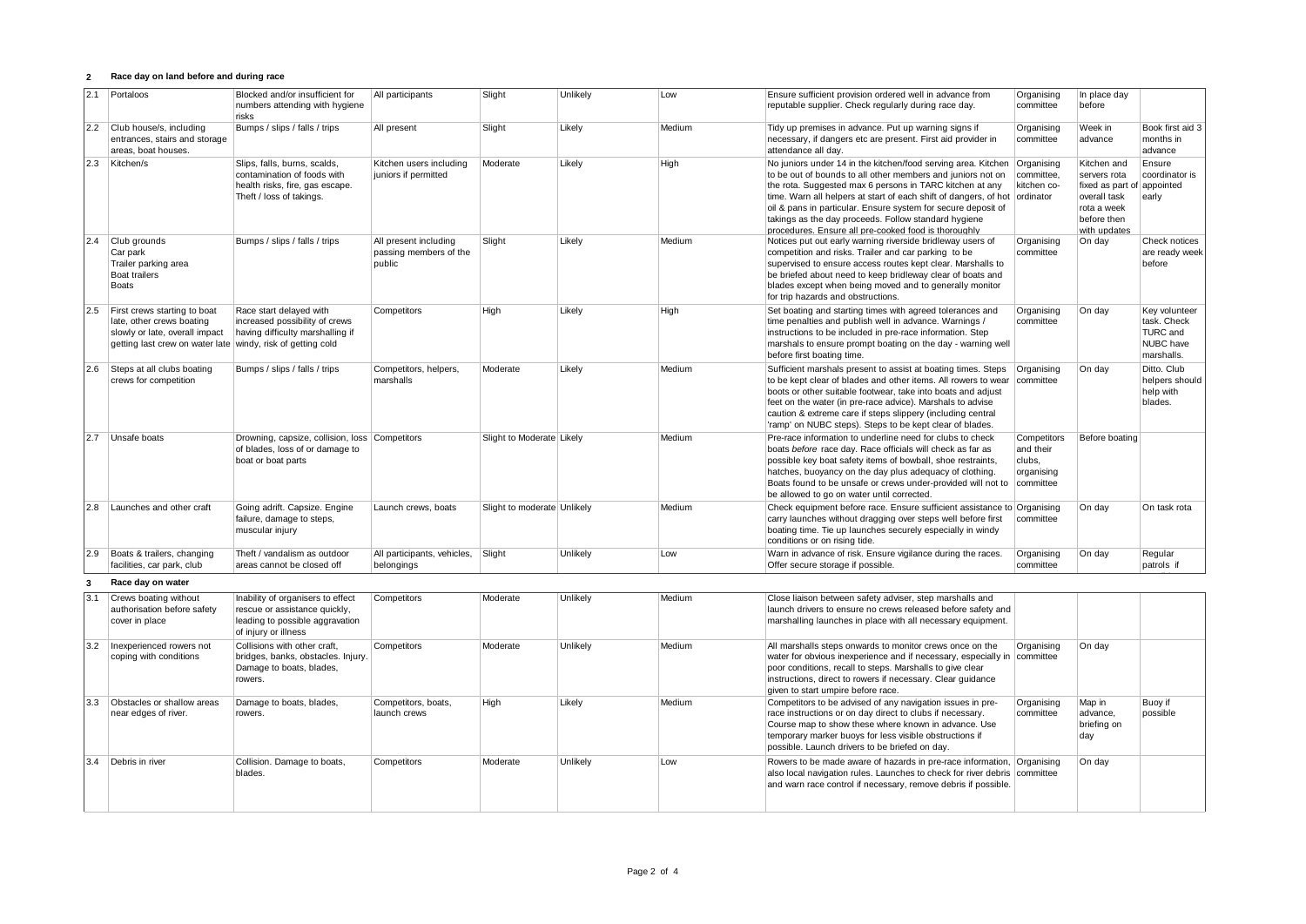## **2 Race day on land before and during race**

| 2.1           | Portaloos                                                                                                                                                  | Blocked and/or insufficient for<br>numbers attending with hygiene<br>risks                                                    | All participants                                          | Slight                      | Unlikely | Low    | Ensure sufficient provision ordered well in advance from<br>reputable supplier. Check regularly during race day.                                                                                                                                                                                                                                                                                                                                        | Organising<br>committee                          | In place day<br>before                                                                                                  |                                                                     |
|---------------|------------------------------------------------------------------------------------------------------------------------------------------------------------|-------------------------------------------------------------------------------------------------------------------------------|-----------------------------------------------------------|-----------------------------|----------|--------|---------------------------------------------------------------------------------------------------------------------------------------------------------------------------------------------------------------------------------------------------------------------------------------------------------------------------------------------------------------------------------------------------------------------------------------------------------|--------------------------------------------------|-------------------------------------------------------------------------------------------------------------------------|---------------------------------------------------------------------|
| 12.2          | Club house/s, including<br>entrances, stairs and storage<br>areas, boat houses.                                                                            | Bumps / slips / falls / trips                                                                                                 | All present                                               | Slight                      | Likely   | Medium | Tidy up premises in advance. Put up warning signs if<br>necessary, if dangers etc are present. First aid provider in<br>attendance all day.                                                                                                                                                                                                                                                                                                             | Organising<br>committee                          | Week in<br>advance                                                                                                      | Book first aid 3<br>months in<br>advance                            |
| 2.3           | Kitchen/s                                                                                                                                                  | Slips, falls, burns, scalds,<br>contamination of foods with<br>health risks, fire, gas escape.<br>Theft / loss of takings.    | Kitchen users including<br>juniors if permitted           | Moderate                    | Likely   | High   | No juniors under 14 in the kitchen/food serving area. Kitchen<br>to be out of bounds to all other members and juniors not on<br>the rota. Suggested max 6 persons in TARC kitchen at any<br>time. Warn all helpers at start of each shift of dangers, of hot ordinator<br>oil & pans in particular. Ensure system for secure deposit of<br>takings as the day proceeds. Follow standard hygiene<br>procedures. Ensure all pre-cooked food is thoroughly | Organising<br>committee.<br>kitchen co-          | Kitchen and<br>servers rota<br>fixed as part of appointed<br>overall task<br>rota a week<br>before then<br>with updates | Ensure<br>coordinator is<br>early                                   |
| $ 2.4\rangle$ | Club grounds<br>Car park<br>Trailer parking area<br><b>Boat trailers</b><br>Boats                                                                          | Bumps / slips / falls / trips                                                                                                 | All present including<br>passing members of the<br>public | Slight                      | Likely   | Medium | Notices put out early warning riverside bridleway users of<br>competition and risks. Trailer and car parking to be<br>supervised to ensure access routes kept clear. Marshalls to<br>be briefed about need to keep bridleway clear of boats and<br>blades except when being moved and to generally monitor<br>for trip hazards and obstructions.                                                                                                        | Organising<br>committee                          | On day                                                                                                                  | Check notices<br>are ready week<br>before                           |
| 2.5           | First crews starting to boat<br>late, other crews boating<br>slowly or late, overall impact<br>getting last crew on water late windy, risk of getting cold | Race start delayed with<br>increased possibility of crews<br>having difficulty marshalling if                                 | Competitors                                               | High                        | Likely   | High   | Set boating and starting times with agreed tolerances and<br>time penalties and publish well in advance. Warnings /<br>instructions to be included in pre-race information. Step<br>marshals to ensure prompt boating on the day - warning well<br>before first boating time.                                                                                                                                                                           | Organising<br>committee                          | On day                                                                                                                  | Key volunteer<br>task. Check<br>TURC and<br>NUBC have<br>marshalls. |
| 2.6           | Steps at all clubs boating<br>crews for competition                                                                                                        | Bumps / slips / falls / trips                                                                                                 | Competitors, helpers,<br>marshalls                        | Moderate                    | Likely   | Medium | Sufficient marshals present to assist at boating times. Steps<br>to be kept clear of blades and other items. All rowers to wear<br>boots or other suitable footwear, take into boats and adjust<br>feet on the water (in pre-race advice). Marshals to advise<br>caution & extreme care if steps slippery (including central<br>'ramp' on NUBC steps). Steps to be kept clear of blades.                                                                | Organising<br>committee                          | On day                                                                                                                  | Ditto. Club<br>helpers should<br>help with<br>blades.               |
| 2.7           | Unsafe boats                                                                                                                                               | Drowning, capsize, collision, loss Competitors<br>of blades, loss of or damage to<br>boat or boat parts                       |                                                           | Slight to Moderate Likely   |          | Medium | Pre-race information to underline need for clubs to check<br>boats before race day. Race officials will check as far as<br>possible key boat safety items of bowball, shoe restraints,<br>hatches, buoyancy on the day plus adequacy of clothing.<br>Boats found to be unsafe or crews under-provided will not to committee<br>be allowed to go on water until corrected                                                                                | Competitors<br>and their<br>clubs,<br>organising | Before boating                                                                                                          |                                                                     |
| 2.8           | Launches and other craft                                                                                                                                   | Going adrift. Capsize. Engine<br>failure, damage to steps,<br>muscular injury                                                 | Launch crews, boats                                       | Slight to moderate Unlikely |          | Medium | Check equipment before race. Ensure sufficient assistance to Organising<br>carry launches without dragging over steps well before first<br>boating time. Tie up launches securely especially in windy<br>conditions or on rising tide.                                                                                                                                                                                                                  | committee                                        | On day                                                                                                                  | On task rota                                                        |
| 12.9          | Boats & trailers, changing<br>facilities, car park, club                                                                                                   | Theft / vandalism as outdoor<br>areas cannot be closed off                                                                    | All participants, vehicles,<br>belongings                 | Slight                      | Unlikely | Low    | Warn in advance of risk. Ensure vigilance during the races.<br>Offer secure storage if possible.                                                                                                                                                                                                                                                                                                                                                        | Organising<br>committee                          | On day                                                                                                                  | Regular<br>patrols if                                               |
| 3             | Race day on water                                                                                                                                          |                                                                                                                               |                                                           |                             |          |        |                                                                                                                                                                                                                                                                                                                                                                                                                                                         |                                                  |                                                                                                                         |                                                                     |
| 3.1           | Crews boating without<br>authorisation before safety<br>cover in place                                                                                     | Inability of organisers to effect<br>rescue or assistance quickly.<br>leading to possible aggravation<br>of injury or illness | Competitors                                               | Moderate                    | Unlikely | Medium | Close liaison between safety adviser, step marshalls and<br>launch drivers to ensure no crews released before safety and<br>marshalling launches in place with all necessary equipment.                                                                                                                                                                                                                                                                 |                                                  |                                                                                                                         |                                                                     |
| 3.2           | Inexperienced rowers not<br>coping with conditions                                                                                                         | Collisions with other craft,<br>bridges, banks, obstacles. Injury.<br>Damage to boats, blades,<br>rowers.                     | Competitors                                               | Moderate                    | Unlikely | Medium | All marshalls steps onwards to monitor crews once on the<br>water for obvious inexperience and if necessary, especially in committee<br>poor conditions, recall to steps. Marshalls to give clear<br>instructions, direct to rowers if necessary. Clear guidance<br>given to start umpire before race.                                                                                                                                                  | Organising                                       | On day                                                                                                                  |                                                                     |
| 3.3           | Obstacles or shallow areas<br>near edges of river.                                                                                                         | Damage to boats, blades,<br>rowers.                                                                                           | Competitors, boats,<br>launch crews                       | High                        | Likely   | Medium | Competitors to be advised of any navigation issues in pre-<br>race instructions or on day direct to clubs if necessary.<br>Course map to show these where known in advance. Use<br>temporary marker buoys for less visible obstructions if<br>possible. Launch drivers to be briefed on day.                                                                                                                                                            | Organising<br>committee                          | Map in<br>advance,<br>briefing on<br>day                                                                                | Buoy if<br>possible                                                 |
| 3.4           | Debris in river                                                                                                                                            | Collision. Damage to boats,<br>blades.                                                                                        | Competitors                                               | Moderate                    | Unlikely | Low    | Rowers to be made aware of hazards in pre-race information, Organising<br>also local navigation rules. Launches to check for river debris committee<br>and warn race control if necessary, remove debris if possible.                                                                                                                                                                                                                                   |                                                  | On day                                                                                                                  |                                                                     |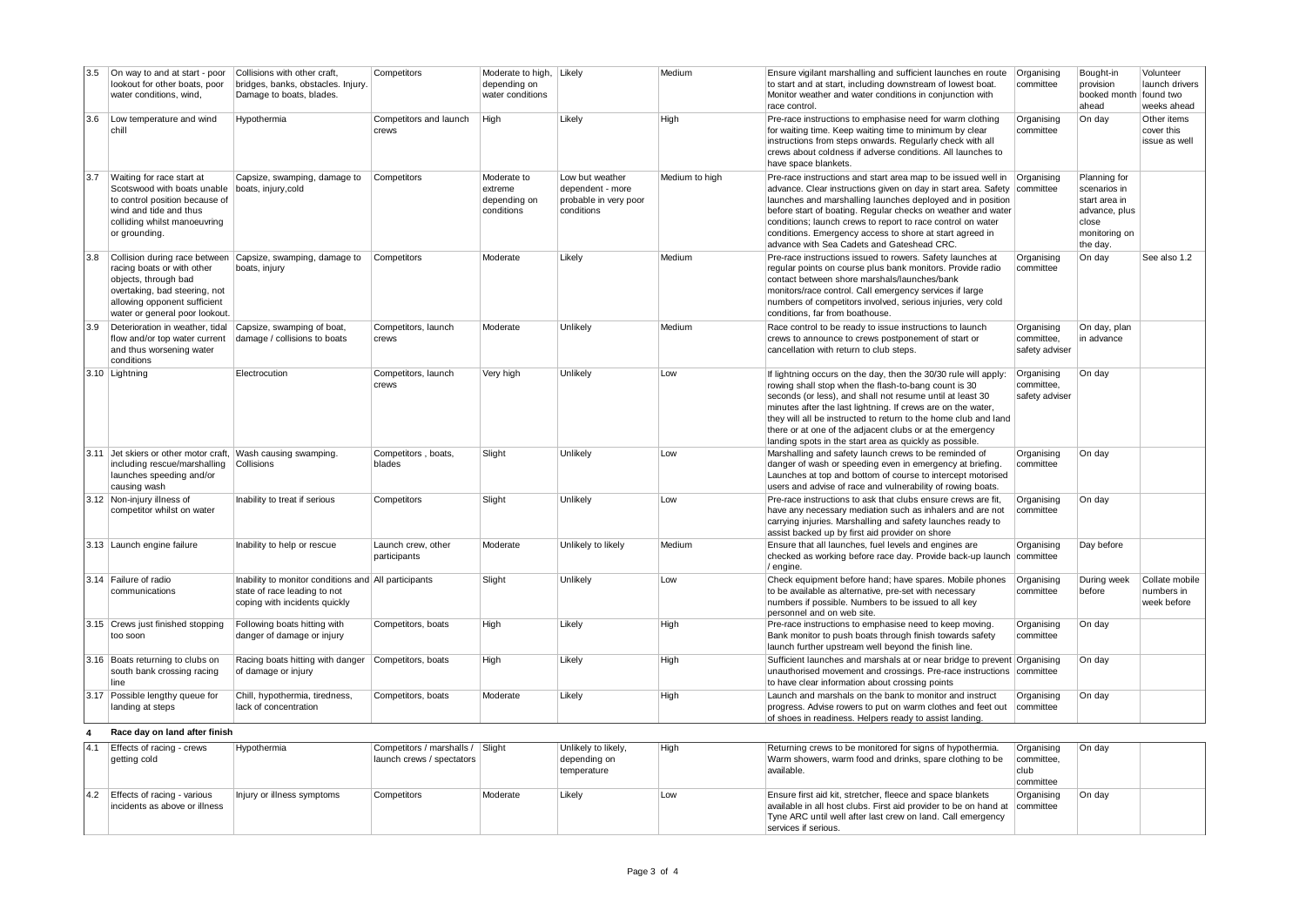| 3.5 | On way to and at start - poor<br>lookout for other boats, poor<br>water conditions, wind,                                                                             | Collisions with other craft.<br>bridges, banks, obstacles. Injury.<br>Damage to boats, blades.                        | Competitors                                            | Moderate to high,<br>depending on<br>water conditions | Likely                                                                     | Medium         | Ensure vigilant marshalling and sufficient launches en route<br>to start and at start, including downstream of lowest boat.<br>Monitor weather and water conditions in conjunction with<br>race control.                                                                                                                                                                                                                                        | Organising<br>committee                       | Bought-in<br>provision<br>booked month<br>ahead                                                      | Volunteer<br>launch drivers<br>found two<br>weeks ahead |  |
|-----|-----------------------------------------------------------------------------------------------------------------------------------------------------------------------|-----------------------------------------------------------------------------------------------------------------------|--------------------------------------------------------|-------------------------------------------------------|----------------------------------------------------------------------------|----------------|-------------------------------------------------------------------------------------------------------------------------------------------------------------------------------------------------------------------------------------------------------------------------------------------------------------------------------------------------------------------------------------------------------------------------------------------------|-----------------------------------------------|------------------------------------------------------------------------------------------------------|---------------------------------------------------------|--|
| 3.6 | Low temperature and wind<br>chill                                                                                                                                     | Hypothermia                                                                                                           | Competitors and launch<br>crews                        | High                                                  | Likely                                                                     | High           | Pre-race instructions to emphasise need for warm clothing<br>for waiting time. Keep waiting time to minimum by clear<br>instructions from steps onwards. Reqularly check with all<br>crews about coldness if adverse conditions. All launches to<br>have space blankets.                                                                                                                                                                        | Organising<br>committee                       | On day                                                                                               | Other items<br>cover this<br>issue as well              |  |
| 3.7 | Waiting for race start at<br>Scotswood with boats unable<br>to control position because of<br>wind and tide and thus<br>colliding whilst manoeuvring<br>or grounding. | Capsize, swamping, damage to<br>boats, injury, cold                                                                   | Competitors                                            | Moderate to<br>extreme<br>depending on<br>conditions  | Low but weather<br>dependent - more<br>probable in very poor<br>conditions | Medium to high | Pre-race instructions and start area map to be issued well in<br>advance. Clear instructions given on day in start area. Safety<br>launches and marshalling launches deployed and in position<br>before start of boating. Regular checks on weather and water<br>conditions; launch crews to report to race control on water<br>conditions. Emergency access to shore at start agreed in<br>advance with Sea Cadets and Gateshead CRC.          | Organising<br>committee                       | Planning for<br>scenarios in<br>start area in<br>advance, plus<br>close<br>monitoring on<br>the day. |                                                         |  |
| 3.8 | racing boats or with other<br>objects, through bad<br>overtaking, bad steering, not<br>allowing opponent sufficient<br>water or general poor lookout.                 | Collision during race between Capsize, swamping, damage to<br>boats, injury                                           | Competitors                                            | Moderate                                              | Likely                                                                     | Medium         | Pre-race instructions issued to rowers. Safety launches at<br>regular points on course plus bank monitors. Provide radio<br>contact between shore marshals/launches/bank<br>monitors/race control. Call emergency services if large<br>numbers of competitors involved, serious injuries, very cold<br>conditions, far from boathouse.                                                                                                          | Organising<br>committee                       | On day                                                                                               | See also 1.2                                            |  |
| 3.9 | Deterioration in weather, tidal Capsize, swamping of boat,<br>flow and/or top water current<br>and thus worsening water<br>conditions                                 | damage / collisions to boats                                                                                          | Competitors, launch<br>crews                           | Moderate                                              | Unlikely                                                                   | Medium         | Race control to be ready to issue instructions to launch<br>crews to announce to crews postponement of start or<br>cancellation with return to club steps.                                                                                                                                                                                                                                                                                      | Organising<br>committee,<br>safety adviser    | On day, plan<br>in advance                                                                           |                                                         |  |
|     | 3.10 Lightning                                                                                                                                                        | Electrocution                                                                                                         | Competitors, launch<br>crews                           | Very high                                             | Unlikely                                                                   | Low            | If lightning occurs on the day, then the 30/30 rule will apply:<br>rowing shall stop when the flash-to-bang count is 30<br>seconds (or less), and shall not resume until at least 30<br>minutes after the last lightning. If crews are on the water,<br>they will all be instructed to return to the home club and land<br>there or at one of the adjacent clubs or at the emergency<br>landing spots in the start area as quickly as possible. | Organising<br>committee,<br>safety adviser    | On day                                                                                               |                                                         |  |
|     | 3.11 Jet skiers or other motor craft, Wash causing swamping.<br>including rescue/marshalling<br>launches speeding and/or<br>causing wash                              | Collisions                                                                                                            | Competitors, boats,<br>blades                          | Slight                                                | Unlikely                                                                   | Low            | Marshalling and safety launch crews to be reminded of<br>danger of wash or speeding even in emergency at briefing.<br>Launches at top and bottom of course to intercept motorised<br>users and advise of race and vulnerability of rowing boats.                                                                                                                                                                                                | Organising<br>committee                       | On day                                                                                               |                                                         |  |
|     | 3.12 Non-injury illness of<br>competitor whilst on water                                                                                                              | Inability to treat if serious                                                                                         | Competitors                                            | Slight                                                | Unlikely                                                                   | Low            | Pre-race instructions to ask that clubs ensure crews are fit,<br>have any necessary mediation such as inhalers and are not<br>carrying injuries. Marshalling and safety launches ready to<br>assist backed up by first aid provider on shore                                                                                                                                                                                                    | Organising<br>committee                       | On day                                                                                               |                                                         |  |
|     | 3.13 Launch engine failure                                                                                                                                            | Inability to help or rescue                                                                                           | Launch crew, other<br>participants                     | Moderate                                              | Unlikely to likely                                                         | Medium         | Ensure that all launches, fuel levels and engines are<br>checked as working before race day. Provide back-up launch committee<br>/ engine.                                                                                                                                                                                                                                                                                                      | Organising                                    | Day before                                                                                           |                                                         |  |
|     | 3.14 Failure of radio<br>communications                                                                                                                               | Inability to monitor conditions and All participants<br>state of race leading to not<br>coping with incidents quickly |                                                        | Slight                                                | Unlikely                                                                   | Low            | Check equipment before hand; have spares. Mobile phones<br>to be available as alternative, pre-set with necessary<br>numbers if possible. Numbers to be issued to all key<br>personnel and on web site.                                                                                                                                                                                                                                         | Organising<br>committee                       | During week<br>before                                                                                | Collate mobile<br>numbers in<br>week before             |  |
|     | 3.15 Crews just finished stopping<br>too soon                                                                                                                         | Following boats hitting with<br>danger of damage or injury                                                            | Competitors, boats                                     | High                                                  | Likely                                                                     | High           | Pre-race instructions to emphasise need to keep moving.<br>Bank monitor to push boats through finish towards safety<br>launch further upstream well beyond the finish line.                                                                                                                                                                                                                                                                     | Organising<br>committee                       | On day                                                                                               |                                                         |  |
|     | 3.16 Boats returning to clubs on<br>south bank crossing racing<br>line                                                                                                | Racing boats hitting with danger<br>of damage or injury                                                               | Competitors, boats                                     | High                                                  | Likely                                                                     | High           | Sufficient launches and marshals at or near bridge to prevent Organising<br>unauthorised movement and crossings. Pre-race instructions   committee<br>to have clear information about crossing points                                                                                                                                                                                                                                           |                                               | On day                                                                                               |                                                         |  |
|     | 3.17 Possible lengthy queue for<br>landing at steps                                                                                                                   | Chill, hypothermia, tiredness,<br>lack of concentration                                                               | Competitors, boats                                     | Moderate                                              | Likely                                                                     | High           | Launch and marshals on the bank to monitor and instruct<br>progress. Advise rowers to put on warm clothes and feet out<br>of shoes in readiness. Helpers ready to assist landing.                                                                                                                                                                                                                                                               | Organising<br>committee                       | On day                                                                                               |                                                         |  |
| 4   | Race day on land after finish                                                                                                                                         |                                                                                                                       |                                                        |                                                       |                                                                            |                |                                                                                                                                                                                                                                                                                                                                                                                                                                                 |                                               |                                                                                                      |                                                         |  |
| 4.1 | Effects of racing - crews<br>getting cold                                                                                                                             | Hypothermia                                                                                                           | Competitors / marshalls /<br>launch crews / spectators | Slight                                                | Unlikely to likely,<br>depending on<br>temperature                         | High           | Returning crews to be monitored for signs of hypothermia.<br>Warm showers, warm food and drinks, spare clothing to be<br>available.                                                                                                                                                                                                                                                                                                             | Organising<br>committee.<br>club<br>committee | On day                                                                                               |                                                         |  |
| 4.2 | Effects of racing - various<br>incidents as above or illness                                                                                                          | Injury or illness symptoms                                                                                            | Competitors                                            | Moderate                                              | Likely                                                                     | Low            | Ensure first aid kit, stretcher, fleece and space blankets<br>available in all host clubs. First aid provider to be on hand at<br>Tyne ARC until well after last crew on land. Call emergency<br>services if serious.                                                                                                                                                                                                                           | Organising<br>committee                       | On day                                                                                               |                                                         |  |